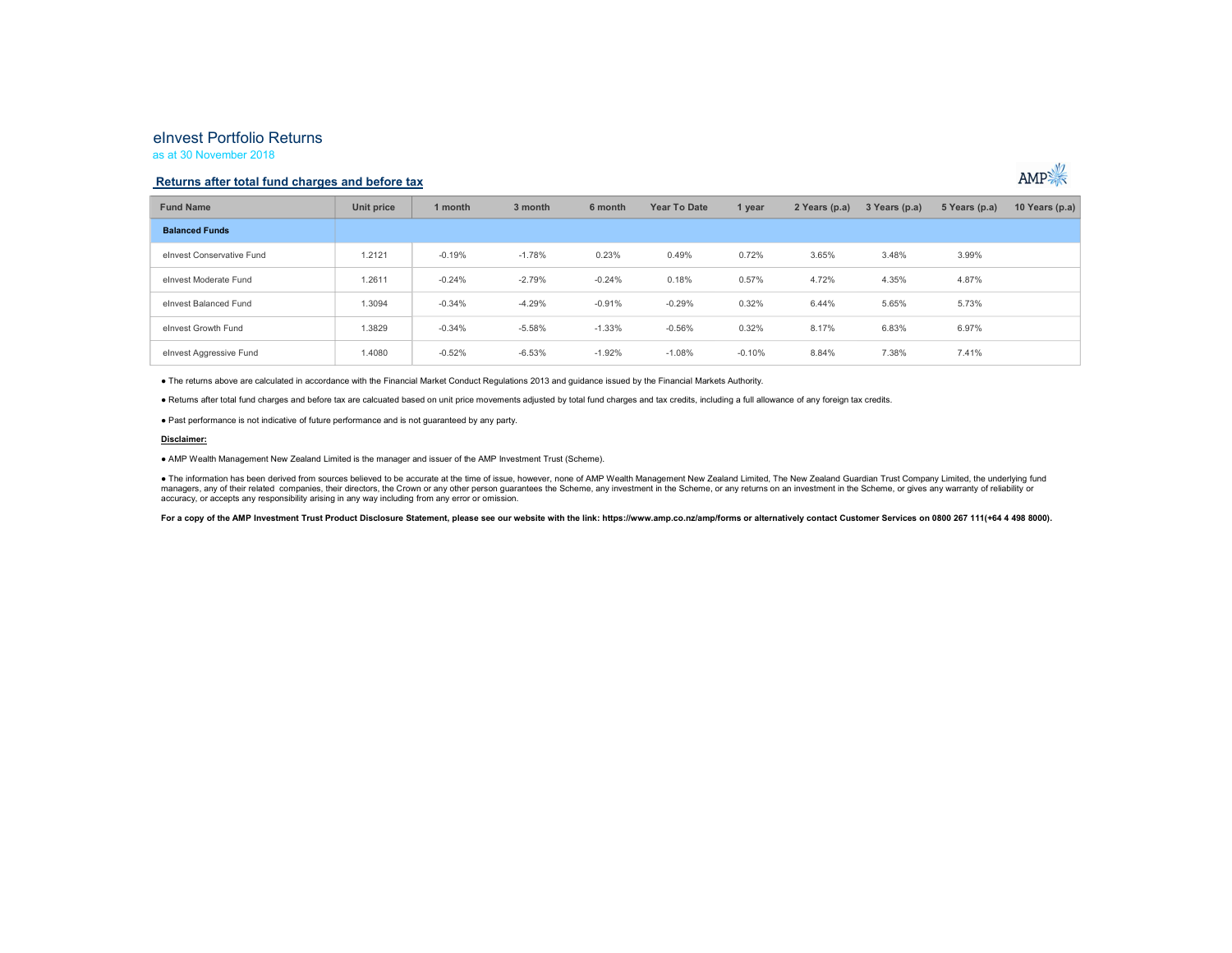# eInvest Portfolio Returns

as at 30 November 2018

## Returns after total fund charges and before tax



● The returns above are calculated in accordance with the Financial Market Conduct Regulations 2013 and guidance issued by the Financial Markets Authority.<br>● Returns after total fund charges and before tax are calcuated b

#### Disclaimer:

● AMP Wealth Management New Zealand Limited is the manager and issuer of the AMP Investment Trust (Scheme).

● The information has been derived from sources believed to be accurate at the time of issue, however, none of AMP Wealth Management New Zealand Limited, The New Zealand Guardian Trust Company Limited, the underlying fund managers, any of their related companies, their directors, the Crown or any other person guarantees the Scheme, any investment in the Scheme, or any returns on an investment in the Scheme, or gives any warranty of reliabil accuracy, or accepts any responsibility arising in any way including from any error or omission.

For a copy of the AMP Investment Trust Product Disclosure Statement, please see our website with the link: https://www.amp.co.nz/amp/forms or alternatively contact Customer Services on 0800 267 111(+64 4 498 8000).